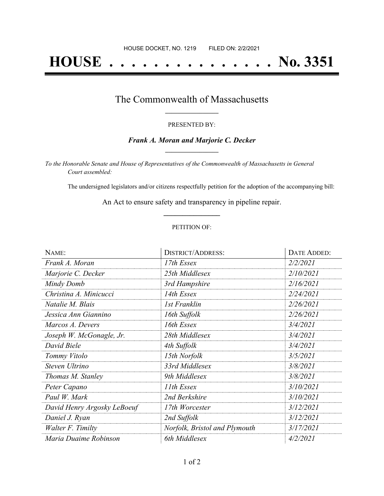# **HOUSE . . . . . . . . . . . . . . . No. 3351**

### The Commonwealth of Massachusetts **\_\_\_\_\_\_\_\_\_\_\_\_\_\_\_\_\_**

#### PRESENTED BY:

#### *Frank A. Moran and Marjorie C. Decker* **\_\_\_\_\_\_\_\_\_\_\_\_\_\_\_\_\_**

*To the Honorable Senate and House of Representatives of the Commonwealth of Massachusetts in General Court assembled:*

The undersigned legislators and/or citizens respectfully petition for the adoption of the accompanying bill:

An Act to ensure safety and transparency in pipeline repair. **\_\_\_\_\_\_\_\_\_\_\_\_\_\_\_**

#### PETITION OF:

| NAME:                       | <b>DISTRICT/ADDRESS:</b>      | DATE ADDED: |
|-----------------------------|-------------------------------|-------------|
| Frank A. Moran              | 17th Essex                    | 2/2/2021    |
| Marjorie C. Decker          | 25th Middlesex                | 2/10/2021   |
| Mindy Domb                  | 3rd Hampshire                 | 2/16/2021   |
| Christina A. Minicucci      | 14th Essex                    | 2/24/2021   |
| Natalie M. Blais            | <b>1st Franklin</b>           | 2/26/2021   |
| Jessica Ann Giannino        | 16th Suffolk                  | 2/26/2021   |
| Marcos A. Devers            | 16th Essex                    | 3/4/2021    |
| Joseph W. McGonagle, Jr.    | 28th Middlesex                | 3/4/2021    |
| David Biele                 | 4th Suffolk                   | 3/4/2021    |
| Tommy Vitolo                | 15th Norfolk                  | 3/5/2021    |
| Steven Ultrino              | 33rd Middlesex                | 3/8/2021    |
| Thomas M. Stanley           | 9th Middlesex                 | 3/8/2021    |
| Peter Capano                | 11th Essex                    | 3/10/2021   |
| Paul W. Mark                | 2nd Berkshire                 | 3/10/2021   |
| David Henry Argosky LeBoeuf | 17th Worcester                | 3/12/2021   |
| Daniel J. Ryan              | 2nd Suffolk                   | 3/12/2021   |
| Walter F. Timilty           | Norfolk, Bristol and Plymouth | 3/17/2021   |
| Maria Duaime Robinson       | 6th Middlesex                 | 4/2/2021    |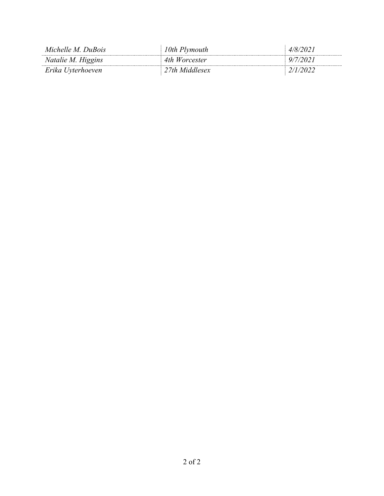| Michelle M. DuBois | 10th Plymouth          | 4/8/2021 |
|--------------------|------------------------|----------|
| Natalie M. Higgins | 4th Worcester          | 9/7/2021 |
| Erika Uyterhoeven  | $\perp$ 27th Middlesex | 2/1/2022 |